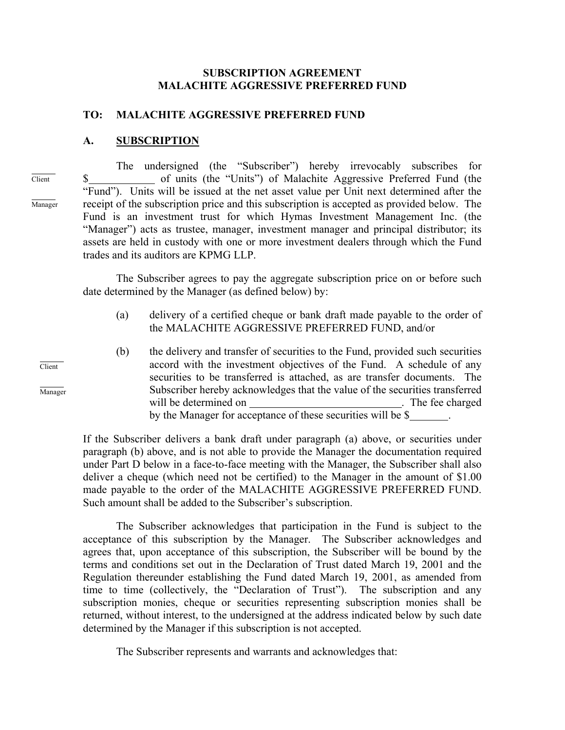#### **SUBSCRIPTION AGREEMENT MALACHITE AGGRESSIVE PREFERRED FUND**

#### **TO: MALACHITE AGGRESSIVE PREFERRED FUND**

#### **A. SUBSCRIPTION**

 $\overline{a}$ Client

 $\overline{a}$ 

Manager

The undersigned (the "Subscriber") hereby irrevocably subscribes for \$ of units (the "Units") of Malachite Aggressive Preferred Fund (the "Fund"). Units will be issued at the net asset value per Unit next determined after the receipt of the subscription price and this subscription is accepted as provided below. The Fund is an investment trust for which Hymas Investment Management Inc. (the "Manager") acts as trustee, manager, investment manager and principal distributor; its assets are held in custody with one or more investment dealers through which the Fund trades and its auditors are KPMG LLP.

The Subscriber agrees to pay the aggregate subscription price on or before such date determined by the Manager (as defined below) by:

- (a) delivery of a certified cheque or bank draft made payable to the order of the MALACHITE AGGRESSIVE PREFERRED FUND, and/or
- (b) the delivery and transfer of securities to the Fund, provided such securities accord with the investment objectives of the Fund. A schedule of any securities to be transferred is attached, as are transfer documents. The Subscriber hereby acknowledges that the value of the securities transferred will be determined on . The fee charged by the Manager for acceptance of these securities will be \$

If the Subscriber delivers a bank draft under paragraph (a) above, or securities under paragraph (b) above, and is not able to provide the Manager the documentation required under Part D below in a face-to-face meeting with the Manager, the Subscriber shall also deliver a cheque (which need not be certified) to the Manager in the amount of \$1.00 made payable to the order of the MALACHITE AGGRESSIVE PREFERRED FUND. Such amount shall be added to the Subscriber's subscription.

The Subscriber acknowledges that participation in the Fund is subject to the acceptance of this subscription by the Manager. The Subscriber acknowledges and agrees that, upon acceptance of this subscription, the Subscriber will be bound by the terms and conditions set out in the Declaration of Trust dated March 19, 2001 and the Regulation thereunder establishing the Fund dated March 19, 2001, as amended from time to time (collectively, the "Declaration of Trust"). The subscription and any subscription monies, cheque or securities representing subscription monies shall be returned, without interest, to the undersigned at the address indicated below by such date determined by the Manager if this subscription is not accepted.

The Subscriber represents and warrants and acknowledges that:

Client

 $\overline{a}$ 

 $\overline{a}$ Manager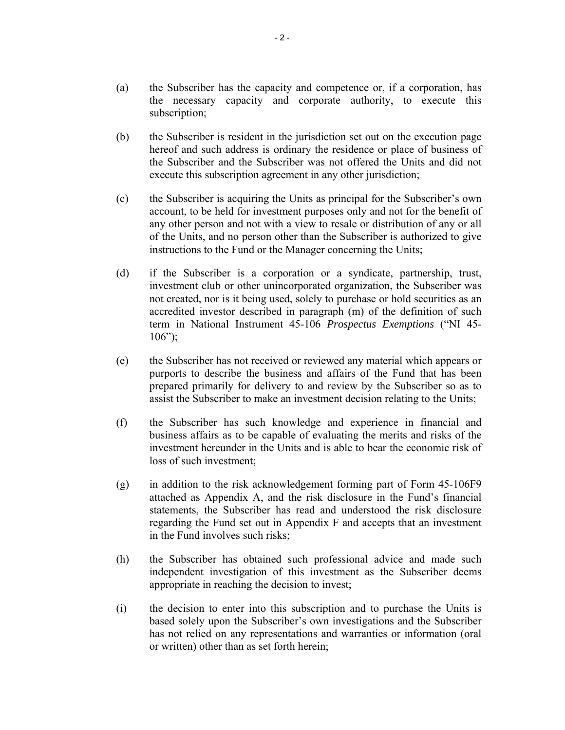- (a) the Subscriber has the capacity and competence or, if a corporation, has the necessary capacity and corporate authority, to execute this subscription;
- (b) the Subscriber is resident in the jurisdiction set out on the execution page hereof and such address is ordinary the residence or place of business of the Subscriber and the Subscriber was not offered the Units and did not execute this subscription agreement in any other jurisdiction;
- (c) the Subscriber is acquiring the Units as principal for the Subscriber's own account, to be held for investment purposes only and not for the benefit of any other person and not with a view to resale or distribution of any or all of the Units, and no person other than the Subscriber is authorized to give instructions to the Fund or the Manager concerning the Units;
- (d) if the Subscriber is a corporation or a syndicate, partnership, trust, investment club or other unincorporated organization, the Subscriber was not created, nor is it being used, solely to purchase or hold securities as an accredited investor described in paragraph (m) of the definition of such term in National Instrument 45-106 *Prospectus Exemptions* ("NI 45-  $106"$ ;
- (e) the Subscriber has not received or reviewed any material which appears or purports to describe the business and affairs of the Fund that has been prepared primarily for delivery to and review by the Subscriber so as to assist the Subscriber to make an investment decision relating to the Units;
- (f) the Subscriber has such knowledge and experience in financial and business affairs as to be capable of evaluating the merits and risks of the investment hereunder in the Units and is able to bear the economic risk of loss of such investment;
- (g) in addition to the risk acknowledgement forming part of Form 45-106F9 attached as Appendix A, and the risk disclosure in the Fund's financial statements, the Subscriber has read and understood the risk disclosure regarding the Fund set out in Appendix F and accepts that an investment in the Fund involves such risks;
- (h) the Subscriber has obtained such professional advice and made such independent investigation of this investment as the Subscriber deems appropriate in reaching the decision to invest;
- (i) the decision to enter into this subscription and to purchase the Units is based solely upon the Subscriber's own investigations and the Subscriber has not relied on any representations and warranties or information (oral or written) other than as set forth herein;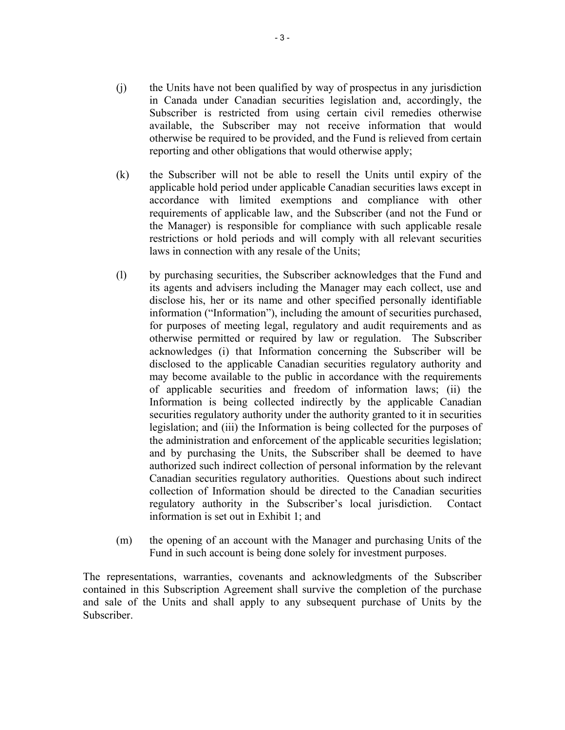- (j) the Units have not been qualified by way of prospectus in any jurisdiction in Canada under Canadian securities legislation and, accordingly, the Subscriber is restricted from using certain civil remedies otherwise available, the Subscriber may not receive information that would otherwise be required to be provided, and the Fund is relieved from certain reporting and other obligations that would otherwise apply;
- (k) the Subscriber will not be able to resell the Units until expiry of the applicable hold period under applicable Canadian securities laws except in accordance with limited exemptions and compliance with other requirements of applicable law, and the Subscriber (and not the Fund or the Manager) is responsible for compliance with such applicable resale restrictions or hold periods and will comply with all relevant securities laws in connection with any resale of the Units;
- (l) by purchasing securities, the Subscriber acknowledges that the Fund and its agents and advisers including the Manager may each collect, use and disclose his, her or its name and other specified personally identifiable information ("Information"), including the amount of securities purchased, for purposes of meeting legal, regulatory and audit requirements and as otherwise permitted or required by law or regulation. The Subscriber acknowledges (i) that Information concerning the Subscriber will be disclosed to the applicable Canadian securities regulatory authority and may become available to the public in accordance with the requirements of applicable securities and freedom of information laws; (ii) the Information is being collected indirectly by the applicable Canadian securities regulatory authority under the authority granted to it in securities legislation; and (iii) the Information is being collected for the purposes of the administration and enforcement of the applicable securities legislation; and by purchasing the Units, the Subscriber shall be deemed to have authorized such indirect collection of personal information by the relevant Canadian securities regulatory authorities. Questions about such indirect collection of Information should be directed to the Canadian securities regulatory authority in the Subscriber's local jurisdiction. Contact information is set out in Exhibit 1; and
- (m) the opening of an account with the Manager and purchasing Units of the Fund in such account is being done solely for investment purposes.

The representations, warranties, covenants and acknowledgments of the Subscriber contained in this Subscription Agreement shall survive the completion of the purchase and sale of the Units and shall apply to any subsequent purchase of Units by the Subscriber.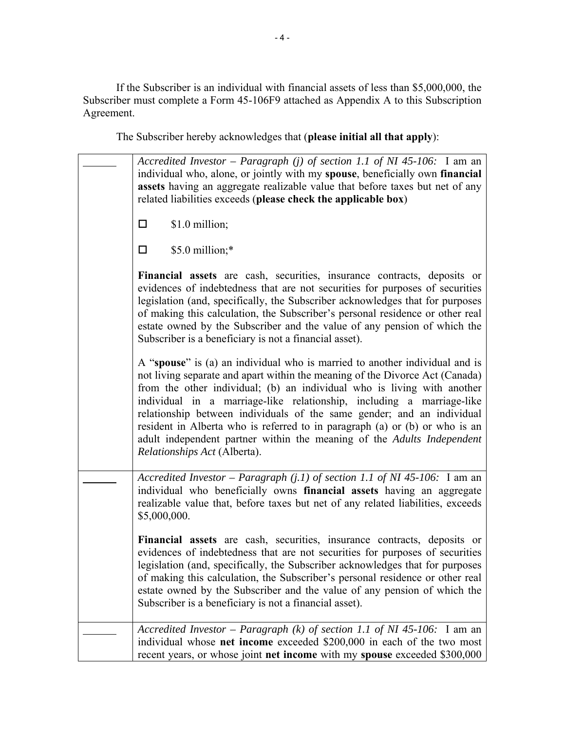If the Subscriber is an individual with financial assets of less than \$5,000,000, the Subscriber must complete a Form 45-106F9 attached as Appendix A to this Subscription Agreement.

The Subscriber hereby acknowledges that (**please initial all that apply**):

| Accredited Investor – Paragraph (j) of section 1.1 of NI 45-106: I am an<br>individual who, alone, or jointly with my spouse, beneficially own financial<br>assets having an aggregate realizable value that before taxes but net of any<br>related liabilities exceeds (please check the applicable box)                                                                                                                                                                                                                                                                          |  |  |  |
|------------------------------------------------------------------------------------------------------------------------------------------------------------------------------------------------------------------------------------------------------------------------------------------------------------------------------------------------------------------------------------------------------------------------------------------------------------------------------------------------------------------------------------------------------------------------------------|--|--|--|
| \$1.0 million;<br>$\Box$                                                                                                                                                                                                                                                                                                                                                                                                                                                                                                                                                           |  |  |  |
| \$5.0 million;*<br>$\Box$                                                                                                                                                                                                                                                                                                                                                                                                                                                                                                                                                          |  |  |  |
| Financial assets are cash, securities, insurance contracts, deposits or<br>evidences of indebtedness that are not securities for purposes of securities<br>legislation (and, specifically, the Subscriber acknowledges that for purposes<br>of making this calculation, the Subscriber's personal residence or other real<br>estate owned by the Subscriber and the value of any pension of which the<br>Subscriber is a beneficiary is not a financial asset).                                                                                                                    |  |  |  |
| A "spouse" is (a) an individual who is married to another individual and is<br>not living separate and apart within the meaning of the Divorce Act (Canada)<br>from the other individual; (b) an individual who is living with another<br>individual in a marriage-like relationship, including a marriage-like<br>relationship between individuals of the same gender; and an individual<br>resident in Alberta who is referred to in paragraph (a) or (b) or who is an<br>adult independent partner within the meaning of the Adults Independent<br>Relationships Act (Alberta). |  |  |  |
| Accredited Investor – Paragraph $(j.1)$ of section 1.1 of NI 45-106: I am an<br>individual who beneficially owns financial assets having an aggregate<br>realizable value that, before taxes but net of any related liabilities, exceeds<br>\$5,000,000.                                                                                                                                                                                                                                                                                                                           |  |  |  |
| Financial assets are cash, securities, insurance contracts, deposits or<br>evidences of indebtedness that are not securities for purposes of securities<br>legislation (and, specifically, the Subscriber acknowledges that for purposes<br>of making this calculation, the Subscriber's personal residence or other real<br>estate owned by the Subscriber and the value of any pension of which the<br>Subscriber is a beneficiary is not a financial asset).                                                                                                                    |  |  |  |
| Accredited Investor – Paragraph (k) of section 1.1 of NI 45-106: I am an<br>individual whose net income exceeded \$200,000 in each of the two most<br>recent years, or whose joint net income with my spouse exceeded \$300,000                                                                                                                                                                                                                                                                                                                                                    |  |  |  |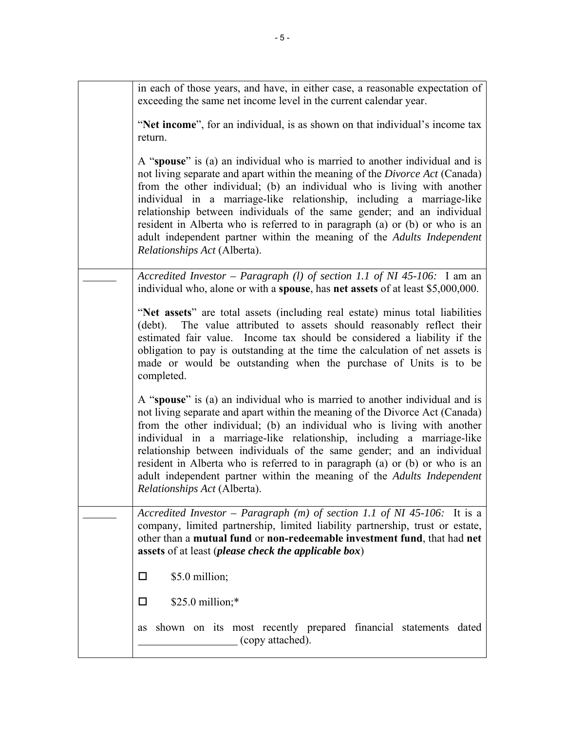| in each of those years, and have, in either case, a reasonable expectation of<br>exceeding the same net income level in the current calendar year.                                                                                                                                                                                                                                                                                                                                                                                                                                        |
|-------------------------------------------------------------------------------------------------------------------------------------------------------------------------------------------------------------------------------------------------------------------------------------------------------------------------------------------------------------------------------------------------------------------------------------------------------------------------------------------------------------------------------------------------------------------------------------------|
| "Net income", for an individual, is as shown on that individual's income tax<br>return.                                                                                                                                                                                                                                                                                                                                                                                                                                                                                                   |
| A "spouse" is (a) an individual who is married to another individual and is<br>not living separate and apart within the meaning of the <i>Divorce Act</i> (Canada)<br>from the other individual; (b) an individual who is living with another<br>individual in a marriage-like relationship, including a marriage-like<br>relationship between individuals of the same gender; and an individual<br>resident in Alberta who is referred to in paragraph (a) or (b) or who is an<br>adult independent partner within the meaning of the Adults Independent<br>Relationships Act (Alberta). |
| Accredited Investor - Paragraph (1) of section 1.1 of NI 45-106: $\overline{I}$ am an<br>individual who, alone or with a spouse, has net assets of at least \$5,000,000.                                                                                                                                                                                                                                                                                                                                                                                                                  |
| "Net assets" are total assets (including real estate) minus total liabilities<br>The value attributed to assets should reasonably reflect their<br>(debt).<br>estimated fair value. Income tax should be considered a liability if the<br>obligation to pay is outstanding at the time the calculation of net assets is<br>made or would be outstanding when the purchase of Units is to be<br>completed.                                                                                                                                                                                 |
| A "spouse" is (a) an individual who is married to another individual and is<br>not living separate and apart within the meaning of the Divorce Act (Canada)<br>from the other individual; (b) an individual who is living with another<br>individual in a marriage-like relationship, including a marriage-like<br>relationship between individuals of the same gender; and an individual<br>resident in Alberta who is referred to in paragraph (a) or (b) or who is an<br>adult independent partner within the meaning of the Adults Independent<br>Relationships Act (Alberta).        |
| Accredited Investor – Paragraph $(m)$ of section 1.1 of NI 45-106: It is a<br>company, limited partnership, limited liability partnership, trust or estate,<br>other than a mutual fund or non-redeemable investment fund, that had net<br>assets of at least ( <i>please check the applicable box</i> )                                                                                                                                                                                                                                                                                  |
| \$5.0 million;<br>□                                                                                                                                                                                                                                                                                                                                                                                                                                                                                                                                                                       |
| $$25.0$ million;*<br>□                                                                                                                                                                                                                                                                                                                                                                                                                                                                                                                                                                    |
| shown on its most recently prepared financial statements dated<br>as<br>(copy attached).                                                                                                                                                                                                                                                                                                                                                                                                                                                                                                  |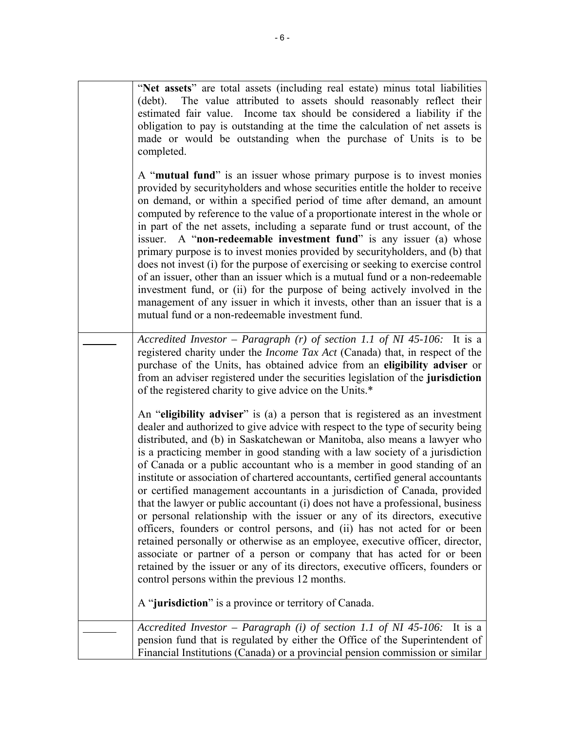|  | "Net assets" are total assets (including real estate) minus total liabilities<br>The value attributed to assets should reasonably reflect their<br>(debt).<br>estimated fair value. Income tax should be considered a liability if the<br>obligation to pay is outstanding at the time the calculation of net assets is<br>made or would be outstanding when the purchase of Units is to be<br>completed.                                                                                                                                                                                                                                                                                                                                                                                                                                                                                                                                                                                                                                                                                                               |
|--|-------------------------------------------------------------------------------------------------------------------------------------------------------------------------------------------------------------------------------------------------------------------------------------------------------------------------------------------------------------------------------------------------------------------------------------------------------------------------------------------------------------------------------------------------------------------------------------------------------------------------------------------------------------------------------------------------------------------------------------------------------------------------------------------------------------------------------------------------------------------------------------------------------------------------------------------------------------------------------------------------------------------------------------------------------------------------------------------------------------------------|
|  | A "mutual fund" is an issuer whose primary purpose is to invest monies<br>provided by securityholders and whose securities entitle the holder to receive<br>on demand, or within a specified period of time after demand, an amount<br>computed by reference to the value of a proportionate interest in the whole or<br>in part of the net assets, including a separate fund or trust account, of the<br>A "non-redeemable investment fund" is any issuer (a) whose<br>issuer.<br>primary purpose is to invest monies provided by security holders, and (b) that<br>does not invest (i) for the purpose of exercising or seeking to exercise control<br>of an issuer, other than an issuer which is a mutual fund or a non-redeemable<br>investment fund, or (ii) for the purpose of being actively involved in the<br>management of any issuer in which it invests, other than an issuer that is a<br>mutual fund or a non-redeemable investment fund.                                                                                                                                                                |
|  | Accredited Investor - Paragraph (r) of section 1.1 of NI 45-106: It is a<br>registered charity under the <i>Income Tax Act</i> (Canada) that, in respect of the<br>purchase of the Units, has obtained advice from an eligibility adviser or<br>from an adviser registered under the securities legislation of the jurisdiction<br>of the registered charity to give advice on the Units.*                                                                                                                                                                                                                                                                                                                                                                                                                                                                                                                                                                                                                                                                                                                              |
|  | An "eligibility adviser" is (a) a person that is registered as an investment<br>dealer and authorized to give advice with respect to the type of security being<br>distributed, and (b) in Saskatchewan or Manitoba, also means a lawyer who<br>is a practicing member in good standing with a law society of a jurisdiction<br>of Canada or a public accountant who is a member in good standing of an<br>institute or association of chartered accountants, certified general accountants<br>or certified management accountants in a jurisdiction of Canada, provided<br>that the lawyer or public accountant (i) does not have a professional, business<br>or personal relationship with the issuer or any of its directors, executive<br>officers, founders or control persons, and (ii) has not acted for or been<br>retained personally or otherwise as an employee, executive officer, director,<br>associate or partner of a person or company that has acted for or been<br>retained by the issuer or any of its directors, executive officers, founders or<br>control persons within the previous 12 months. |
|  | A "jurisdiction" is a province or territory of Canada.                                                                                                                                                                                                                                                                                                                                                                                                                                                                                                                                                                                                                                                                                                                                                                                                                                                                                                                                                                                                                                                                  |
|  | Accredited Investor - Paragraph (i) of section 1.1 of NI 45-106:<br>It is a<br>pension fund that is regulated by either the Office of the Superintendent of<br>Financial Institutions (Canada) or a provincial pension commission or similar                                                                                                                                                                                                                                                                                                                                                                                                                                                                                                                                                                                                                                                                                                                                                                                                                                                                            |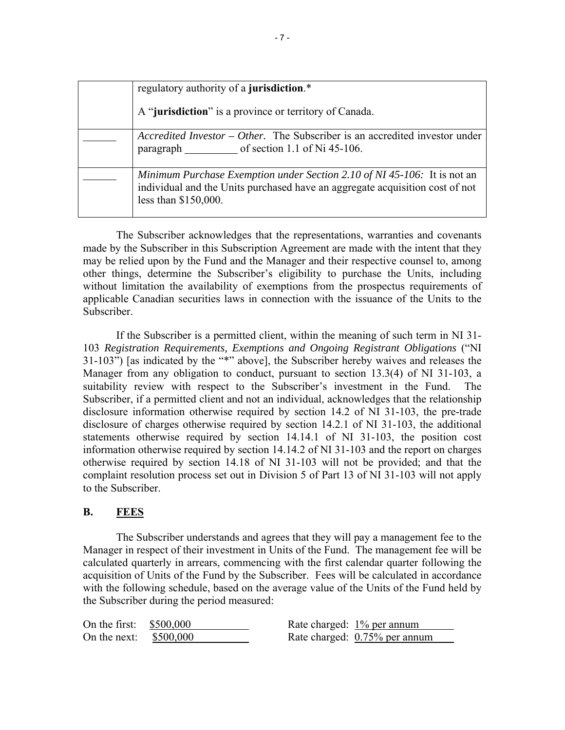| regulatory authority of a jurisdiction.*                                                                                                                                         |
|----------------------------------------------------------------------------------------------------------------------------------------------------------------------------------|
| A "jurisdiction" is a province or territory of Canada.                                                                                                                           |
| Accredited Investor – Other. The Subscriber is an accredited investor under<br>paragraph of section 1.1 of Ni 45-106.                                                            |
| Minimum Purchase Exemption under Section 2.10 of NI 45-106: It is not an<br>individual and the Units purchased have an aggregate acquisition cost of not<br>less than \$150,000. |

The Subscriber acknowledges that the representations, warranties and covenants made by the Subscriber in this Subscription Agreement are made with the intent that they may be relied upon by the Fund and the Manager and their respective counsel to, among other things, determine the Subscriber's eligibility to purchase the Units, including without limitation the availability of exemptions from the prospectus requirements of applicable Canadian securities laws in connection with the issuance of the Units to the Subscriber.

If the Subscriber is a permitted client, within the meaning of such term in NI 31- 103 *Registration Requirements, Exemptions and Ongoing Registrant Obligations* ("NI 31-103") [as indicated by the "\*" above], the Subscriber hereby waives and releases the Manager from any obligation to conduct, pursuant to section 13.3(4) of NI 31-103, a suitability review with respect to the Subscriber's investment in the Fund. The Subscriber, if a permitted client and not an individual, acknowledges that the relationship disclosure information otherwise required by section 14.2 of NI 31-103, the pre-trade disclosure of charges otherwise required by section 14.2.1 of NI 31-103, the additional statements otherwise required by section 14.14.1 of NI 31-103, the position cost information otherwise required by section 14.14.2 of NI 31-103 and the report on charges otherwise required by section 14.18 of NI 31-103 will not be provided; and that the complaint resolution process set out in Division 5 of Part 13 of NI 31-103 will not apply to the Subscriber.

# **B. FEES**

The Subscriber understands and agrees that they will pay a management fee to the Manager in respect of their investment in Units of the Fund. The management fee will be calculated quarterly in arrears, commencing with the first calendar quarter following the acquisition of Units of the Fund by the Subscriber. Fees will be calculated in accordance with the following schedule, based on the average value of the Units of the Fund held by the Subscriber during the period measured:

| On the first: $$500,000$ | Rate charged: 1% per annum    |
|--------------------------|-------------------------------|
| On the next: $$500,000$  | Rate charged: 0.75% per annum |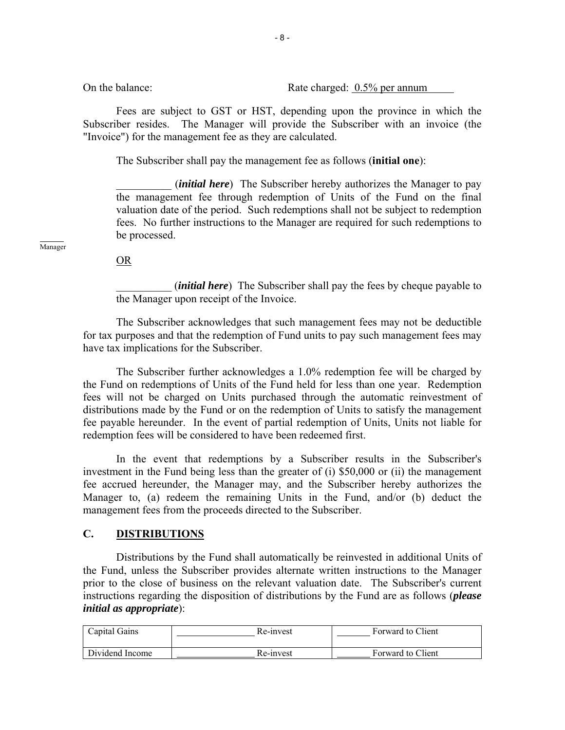On the balance: Rate charged: 0.5% per annum

Fees are subject to GST or HST, depending upon the province in which the Subscriber resides. The Manager will provide the Subscriber with an invoice (the "Invoice") for the management fee as they are calculated.

The Subscriber shall pay the management fee as follows (**initial one**):

(*initial here*) The Subscriber hereby authorizes the Manager to pay the management fee through redemption of Units of the Fund on the final valuation date of the period. Such redemptions shall not be subject to redemption fees. No further instructions to the Manager are required for such redemptions to be processed.

 $\overline{a}$ Manager

OR

\_\_\_\_\_\_\_\_\_\_ (*initial here*) The Subscriber shall pay the fees by cheque payable to the Manager upon receipt of the Invoice.

The Subscriber acknowledges that such management fees may not be deductible for tax purposes and that the redemption of Fund units to pay such management fees may have tax implications for the Subscriber.

The Subscriber further acknowledges a 1.0% redemption fee will be charged by the Fund on redemptions of Units of the Fund held for less than one year. Redemption fees will not be charged on Units purchased through the automatic reinvestment of distributions made by the Fund or on the redemption of Units to satisfy the management fee payable hereunder. In the event of partial redemption of Units, Units not liable for redemption fees will be considered to have been redeemed first.

In the event that redemptions by a Subscriber results in the Subscriber's investment in the Fund being less than the greater of (i) \$50,000 or (ii) the management fee accrued hereunder, the Manager may, and the Subscriber hereby authorizes the Manager to, (a) redeem the remaining Units in the Fund, and/or (b) deduct the management fees from the proceeds directed to the Subscriber.

#### **C. DISTRIBUTIONS**

Distributions by the Fund shall automatically be reinvested in additional Units of the Fund, unless the Subscriber provides alternate written instructions to the Manager prior to the close of business on the relevant valuation date. The Subscriber's current instructions regarding the disposition of distributions by the Fund are as follows (*please initial as appropriate*):

| Capital Gains   | Re-invest | Forward to Client |
|-----------------|-----------|-------------------|
| Dividend Income | Re-invest | Forward to Client |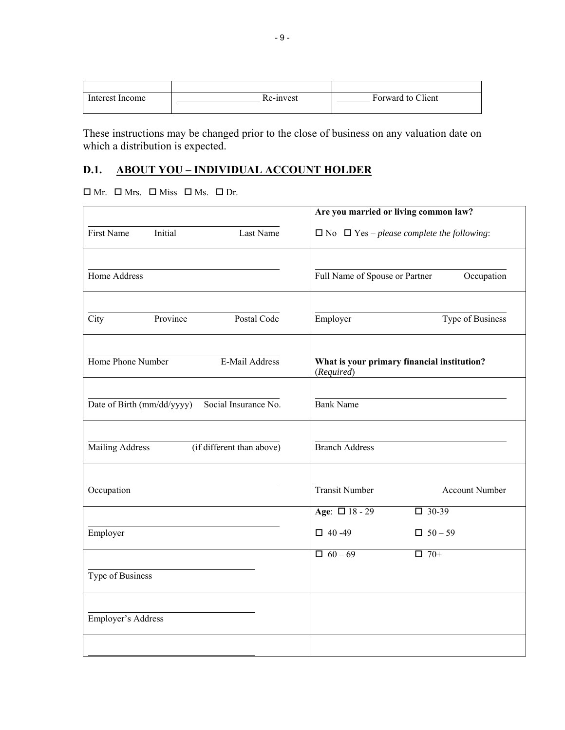| Interest Income | Re-invest | Forward to Client |
|-----------------|-----------|-------------------|
|                 |           |                   |

These instructions may be changed prior to the close of business on any valuation date on which a distribution is expected.

# **D.1. ABOUT YOU – INDIVIDUAL ACCOUNT HOLDER**

#### $\square \ \text{Mr.} \quad \square \ \text{Mrs.} \quad \square \ \text{Miss} \quad \square \ \text{Ms.} \quad \square \ \text{Dr.}$

|                                                     | Are you married or living common law?                                  |
|-----------------------------------------------------|------------------------------------------------------------------------|
| First Name<br>Initial<br>Last Name                  | $\Box$ No $\Box$ Yes – please complete the following:                  |
| Home Address                                        | Full Name of Spouse or Partner<br>Occupation                           |
| Postal Code<br>City<br>Province                     | Employer<br>Type of Business                                           |
| Home Phone Number<br>E-Mail Address                 | What is your primary financial institution?<br>(Required)              |
| Social Insurance No.<br>Date of Birth (mm/dd/yyyy)  | <b>Bank Name</b>                                                       |
| <b>Mailing Address</b><br>(if different than above) | <b>Branch Address</b>                                                  |
| Occupation                                          | <b>Transit Number</b><br><b>Account Number</b>                         |
| Employer                                            | Age: $\Box$ 18 - 29<br>$\Box$ 30-39<br>$\Box$ 40 -49<br>$\Box$ 50 - 59 |
| Type of Business                                    | $\Box$ 60 – 69<br>$\Box$ 70+                                           |
| Employer's Address                                  |                                                                        |
|                                                     |                                                                        |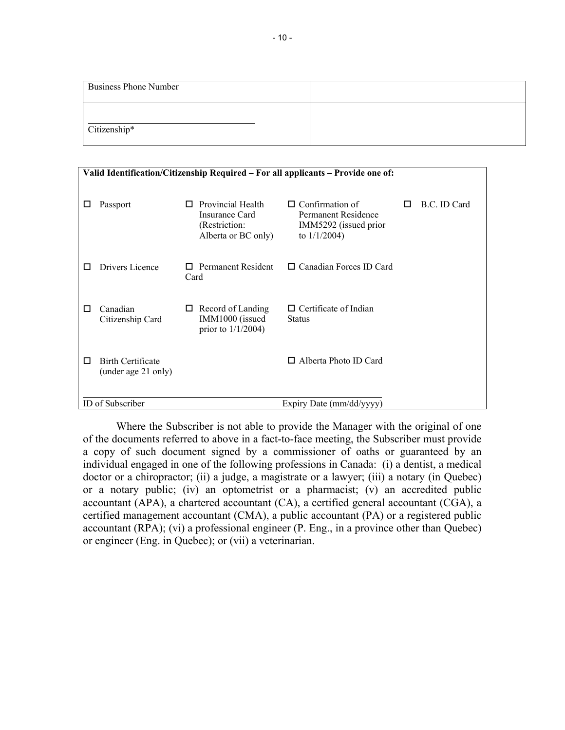| <b>Business Phone Number</b> |  |
|------------------------------|--|
| Citizenship*                 |  |

| Valid Identification/Citizenship Required – For all applicants – Provide one of: |                                              |                                                                                  |                                                                                           |   |              |
|----------------------------------------------------------------------------------|----------------------------------------------|----------------------------------------------------------------------------------|-------------------------------------------------------------------------------------------|---|--------------|
|                                                                                  | Passport                                     | Provincial Health<br>П<br>Insurance Card<br>(Restriction:<br>Alberta or BC only) | $\Box$ Confirmation of<br>Permanent Residence<br>IMM5292 (issued prior<br>to $1/1/2004$ ) | П | B.C. ID Card |
| П                                                                                | Drivers Licence                              | $\Box$ Permanent Resident<br>Card                                                | $\Box$ Canadian Forces ID Card                                                            |   |              |
| П                                                                                | Canadian<br>Citizenship Card                 | Record of Landing<br>ப<br>IMM1000 (issued<br>prior to $1/1/2004$ )               | $\Box$ Certificate of Indian<br><b>Status</b>                                             |   |              |
| П                                                                                | Birth Certificate<br>(under age 21 only)     |                                                                                  | Alberta Photo ID Card<br>П                                                                |   |              |
|                                                                                  | ID of Subscriber<br>Expiry Date (mm/dd/yyyy) |                                                                                  |                                                                                           |   |              |

Where the Subscriber is not able to provide the Manager with the original of one of the documents referred to above in a fact-to-face meeting, the Subscriber must provide a copy of such document signed by a commissioner of oaths or guaranteed by an individual engaged in one of the following professions in Canada: (i) a dentist, a medical doctor or a chiropractor; (ii) a judge, a magistrate or a lawyer; (iii) a notary (in Quebec) or a notary public; (iv) an optometrist or a pharmacist; (v) an accredited public accountant (APA), a chartered accountant (CA), a certified general accountant (CGA), a certified management accountant (CMA), a public accountant (PA) or a registered public accountant (RPA); (vi) a professional engineer (P. Eng., in a province other than Quebec) or engineer (Eng. in Quebec); or (vii) a veterinarian.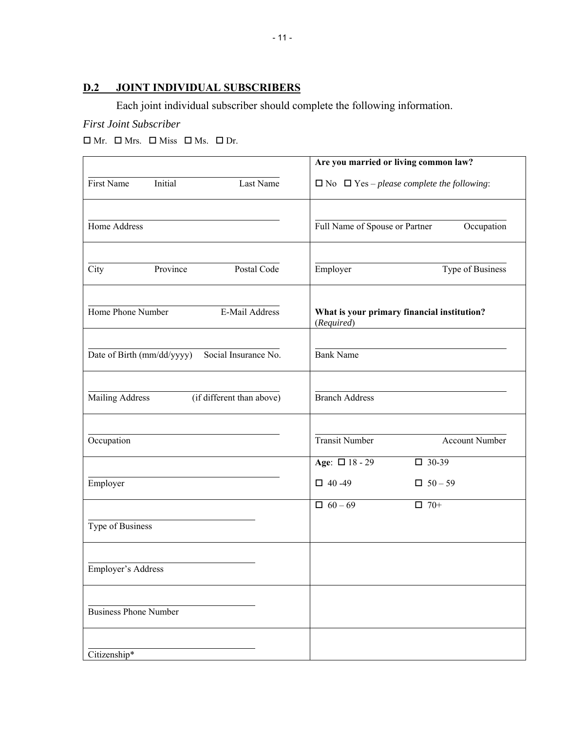# **D.2 JOINT INDIVIDUAL SUBSCRIBERS**

Each joint individual subscriber should complete the following information.

# *First Joint Subscriber*

 $\Box$  Mr.  $\Box$  Mrs.  $\Box$  Miss  $\Box$  Ms.  $\Box$  Dr.

|                                                     | Are you married or living common law?                     |
|-----------------------------------------------------|-----------------------------------------------------------|
| Initial<br>First Name<br>Last Name                  | $\Box$ No $\Box$ Yes – please complete the following:     |
|                                                     |                                                           |
| Home Address                                        | Full Name of Spouse or Partner<br>Occupation              |
|                                                     |                                                           |
| Postal Code<br>City<br>Province                     | Employer<br>Type of Business                              |
| Home Phone Number<br>E-Mail Address                 | What is your primary financial institution?<br>(Required) |
|                                                     |                                                           |
| Social Insurance No.<br>Date of Birth (mm/dd/yyyy)  | <b>Bank Name</b>                                          |
|                                                     |                                                           |
| <b>Mailing Address</b><br>(if different than above) | <b>Branch Address</b>                                     |
|                                                     |                                                           |
| Occupation                                          | <b>Transit Number</b><br>Account Number                   |
|                                                     | Age: $\Box$ 18 - 29<br>$\square$ 30-39                    |
| Employer                                            | $\Box$ 40 -49<br>$\Box$ 50 - 59                           |
|                                                     | $\Box$ 60 - 69<br>$\Box$ 70+                              |
| Type of Business                                    |                                                           |
|                                                     |                                                           |
| Employer's Address                                  |                                                           |
|                                                     |                                                           |
| <b>Business Phone Number</b>                        |                                                           |
|                                                     |                                                           |
| Citizenship*                                        |                                                           |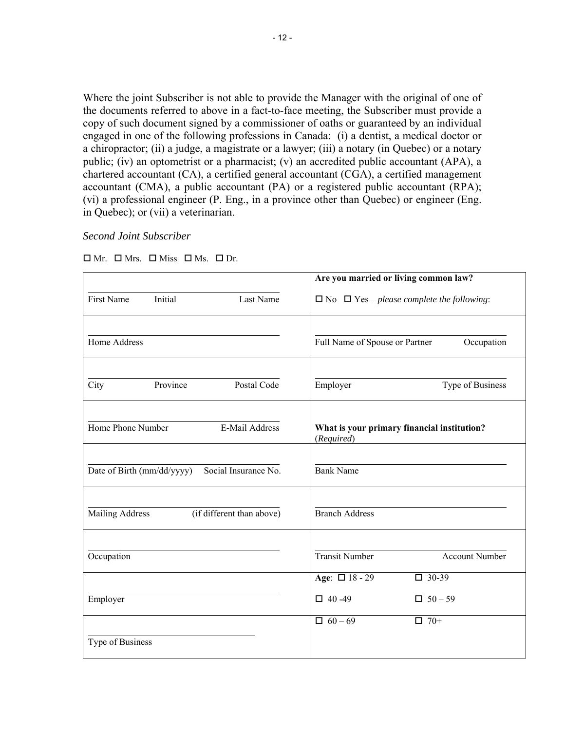Where the joint Subscriber is not able to provide the Manager with the original of one of the documents referred to above in a fact-to-face meeting, the Subscriber must provide a copy of such document signed by a commissioner of oaths or guaranteed by an individual engaged in one of the following professions in Canada: (i) a dentist, a medical doctor or a chiropractor; (ii) a judge, a magistrate or a lawyer; (iii) a notary (in Quebec) or a notary public; (iv) an optometrist or a pharmacist; (v) an accredited public accountant (APA), a chartered accountant (CA), a certified general accountant (CGA), a certified management accountant (CMA), a public accountant (PA) or a registered public accountant (RPA); (vi) a professional engineer (P. Eng., in a province other than Quebec) or engineer (Eng. in Quebec); or (vii) a veterinarian.

#### *Second Joint Subscriber*

|                                                     | Are you married or living common law?                     |
|-----------------------------------------------------|-----------------------------------------------------------|
| Initial<br><b>First Name</b><br>Last Name           | $\Box$ No $\Box$ Yes – please complete the following:     |
| Home Address                                        | Full Name of Spouse or Partner<br>Occupation              |
| Province<br>Postal Code<br>City                     | Type of Business<br>Employer                              |
| Home Phone Number<br>E-Mail Address                 | What is your primary financial institution?<br>(Required) |
| Social Insurance No.<br>Date of Birth (mm/dd/yyyy)  | <b>Bank Name</b>                                          |
| <b>Mailing Address</b><br>(if different than above) | <b>Branch Address</b>                                     |
| Occupation                                          | <b>Transit Number</b><br><b>Account Number</b>            |
|                                                     | Age: $\Box$ 18 - 29<br>$\Box$ 30-39                       |
| Employer                                            | $\Box$ 40 -49<br>$\Box$ 50 - 59                           |
| Type of Business                                    | $\Box$ 70+<br>$\Box$ 60 - 69                              |
|                                                     |                                                           |

 $\Box$  Mr.  $\Box$  Mrs.  $\Box$  Miss  $\Box$  Ms.  $\Box$  Dr.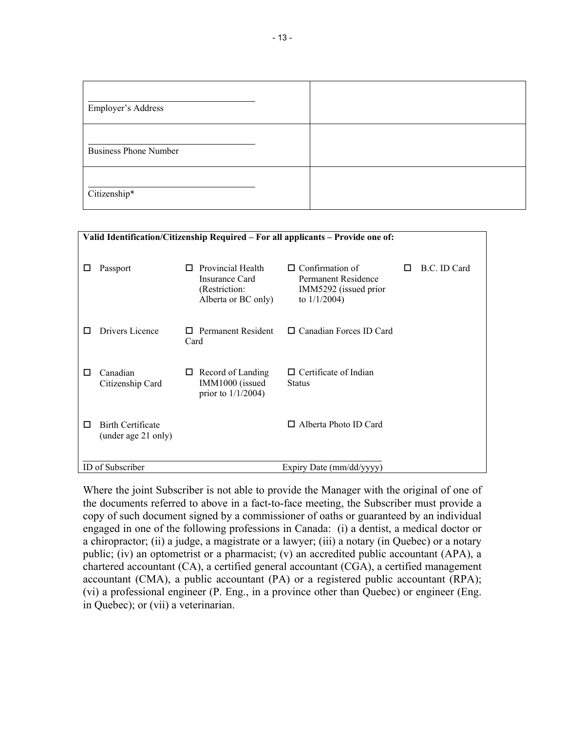| Employer's Address           |  |
|------------------------------|--|
| <b>Business Phone Number</b> |  |
| Citizenship*                 |  |

|                                                      |                                                                      | Valid Identification/Citizenship Required – For all applicants – Provide one of: |   |              |
|------------------------------------------------------|----------------------------------------------------------------------|----------------------------------------------------------------------------------|---|--------------|
| Passport<br>ப                                        | Provincial Health<br>П<br>Insurance Card                             | Confirmation of<br>$\Box$<br>Permanent Residence                                 | П | B.C. ID Card |
|                                                      | (Restriction:<br>Alberta or BC only)                                 | IMM5292 (issued prior<br>to $1/1/2004$ )                                         |   |              |
| Drivers Licence                                      | Permanent Resident<br>$\mathbf{L}$<br>Card                           | $\Box$ Canadian Forces ID Card                                                   |   |              |
| Canadian<br>П<br>Citizenship Card                    | $\Box$ Record of Landing<br>IMM1000 (issued<br>prior to $1/1/2004$ ) | $\Box$ Certificate of Indian<br><b>Status</b>                                    |   |              |
| <b>Birth Certificate</b><br>П<br>(under age 21 only) |                                                                      | Alberta Photo ID Card<br>П.                                                      |   |              |
| <b>ID</b> of Subscriber                              |                                                                      | Expiry Date (mm/dd/yyyy)                                                         |   |              |

Where the joint Subscriber is not able to provide the Manager with the original of one of the documents referred to above in a fact-to-face meeting, the Subscriber must provide a copy of such document signed by a commissioner of oaths or guaranteed by an individual engaged in one of the following professions in Canada: (i) a dentist, a medical doctor or a chiropractor; (ii) a judge, a magistrate or a lawyer; (iii) a notary (in Quebec) or a notary public; (iv) an optometrist or a pharmacist; (v) an accredited public accountant (APA), a chartered accountant (CA), a certified general accountant (CGA), a certified management accountant (CMA), a public accountant (PA) or a registered public accountant (RPA); (vi) a professional engineer (P. Eng., in a province other than Quebec) or engineer (Eng. in Quebec); or (vii) a veterinarian.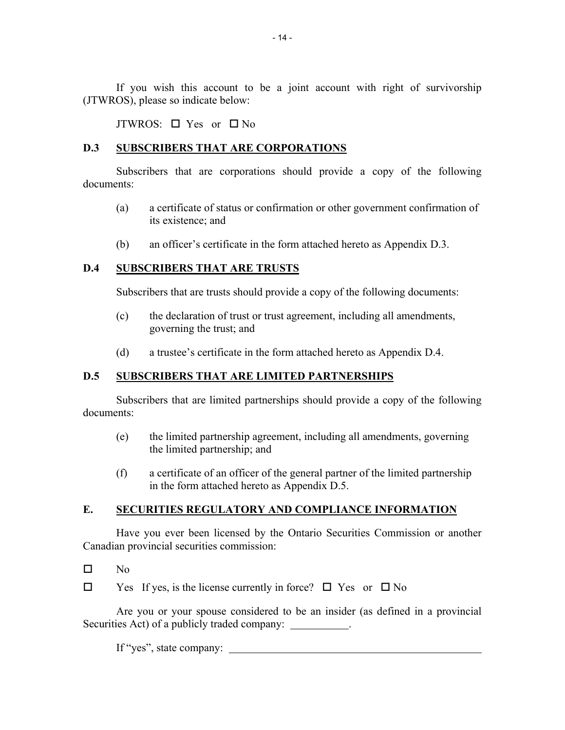If you wish this account to be a joint account with right of survivorship (JTWROS), please so indicate below:

JTWROS:  $\Box$  Yes or  $\Box$  No

#### **D.3 SUBSCRIBERS THAT ARE CORPORATIONS**

Subscribers that are corporations should provide a copy of the following documents:

- (a) a certificate of status or confirmation or other government confirmation of its existence; and
- (b) an officer's certificate in the form attached hereto as Appendix D.3.

# **D.4 SUBSCRIBERS THAT ARE TRUSTS**

Subscribers that are trusts should provide a copy of the following documents:

- (c) the declaration of trust or trust agreement, including all amendments, governing the trust; and
- (d) a trustee's certificate in the form attached hereto as Appendix D.4.

# **D.5 SUBSCRIBERS THAT ARE LIMITED PARTNERSHIPS**

Subscribers that are limited partnerships should provide a copy of the following documents:

- (e) the limited partnership agreement, including all amendments, governing the limited partnership; and
- (f) a certificate of an officer of the general partner of the limited partnership in the form attached hereto as Appendix D.5.

# **E. SECURITIES REGULATORY AND COMPLIANCE INFORMATION**

Have you ever been licensed by the Ontario Securities Commission or another Canadian provincial securities commission:

- $\Box$  No
- $\Box$  Yes If yes, is the license currently in force?  $\Box$  Yes or  $\Box$  No

Are you or your spouse considered to be an insider (as defined in a provincial Securities Act) of a publicly traded company:

If "yes", state company: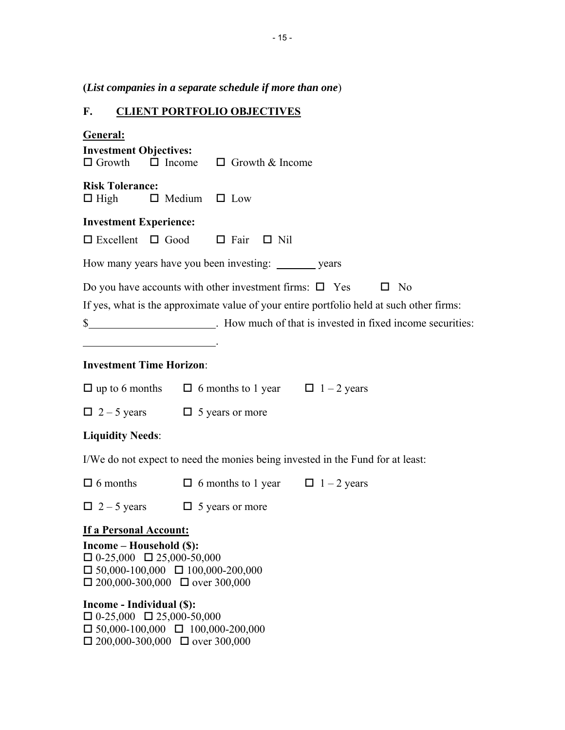| (List companies in a separate schedule if more than one)                                                                                                                                 |                                                                                                                                                                                                                                                               |  |  |
|------------------------------------------------------------------------------------------------------------------------------------------------------------------------------------------|---------------------------------------------------------------------------------------------------------------------------------------------------------------------------------------------------------------------------------------------------------------|--|--|
| F.                                                                                                                                                                                       | <b>CLIENT PORTFOLIO OBJECTIVES</b>                                                                                                                                                                                                                            |  |  |
| <u>General:</u><br><b>Investment Objectives:</b>                                                                                                                                         | $\Box$ Growth $\Box$ Income $\Box$ Growth & Income                                                                                                                                                                                                            |  |  |
| <b>Risk Tolerance:</b><br>$\Box$ High $\Box$ Medium $\Box$ Low                                                                                                                           |                                                                                                                                                                                                                                                               |  |  |
| <b>Investment Experience:</b>                                                                                                                                                            | $\square$ Excellent $\square$ Good $\square$ Fair $\square$ Nil                                                                                                                                                                                               |  |  |
|                                                                                                                                                                                          | How many years have you been investing: ________ years                                                                                                                                                                                                        |  |  |
|                                                                                                                                                                                          | Do you have accounts with other investment firms: $\Box$ Yes $\Box$ No<br>If yes, what is the approximate value of your entire portfolio held at such other firms:<br>\$___________________________. How much of that is invested in fixed income securities: |  |  |
| <b>Investment Time Horizon:</b>                                                                                                                                                          |                                                                                                                                                                                                                                                               |  |  |
|                                                                                                                                                                                          | $\Box$ up to 6 months $\Box$ 6 months to 1 year $\Box$ 1 – 2 years                                                                                                                                                                                            |  |  |
| $\Box$ 2 – 5 years $\Box$ 5 years or more                                                                                                                                                |                                                                                                                                                                                                                                                               |  |  |
| <b>Liquidity Needs:</b>                                                                                                                                                                  |                                                                                                                                                                                                                                                               |  |  |
|                                                                                                                                                                                          | I/We do not expect to need the monies being invested in the Fund for at least:                                                                                                                                                                                |  |  |
| $\Box$ 6 months                                                                                                                                                                          | $\Box$ 6 months to 1 year<br>$\Box$ 1 – 2 years                                                                                                                                                                                                               |  |  |
| $\Box$ 2 – 5 years                                                                                                                                                                       | $\Box$ 5 years or more                                                                                                                                                                                                                                        |  |  |
| If a Personal Account:<br>Income - Household (\$):<br>$\Box$ 0-25,000 $\Box$ 25,000-50,000<br>$\Box$ 50,000-100,000 $\Box$ 100,000-200,000<br>$\Box$ 200,000-300,000 $\Box$ over 300,000 |                                                                                                                                                                                                                                                               |  |  |

**Income - Individual (\$):**   $\Box$  0-25,000  $\Box$  25,000-50,000  $\Box$  50,000-100,000  $\Box$  100,000-200,000  $\Box$  200,000-300,000  $\Box$  over 300,000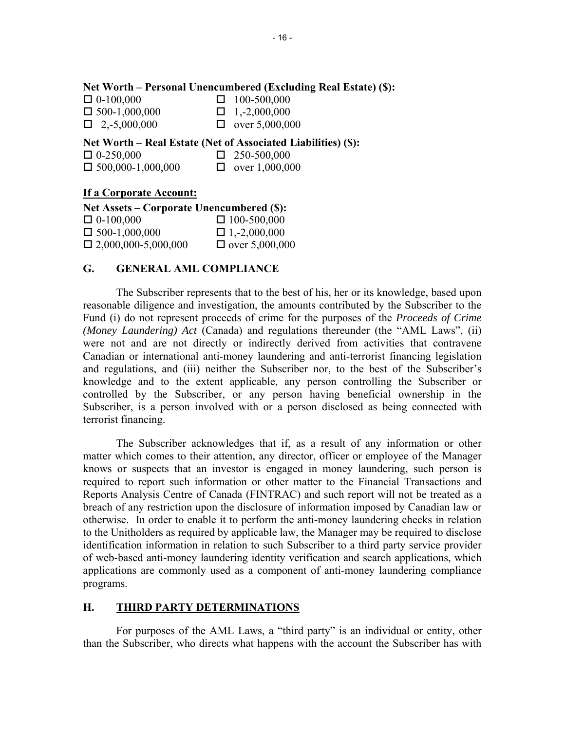#### **Net Worth – Personal Unencumbered (Excluding Real Estate) (\$):**

| $\Box$ 0-100,000     | $\Box$ 100-500,000    |
|----------------------|-----------------------|
| $\Box$ 500-1,000,000 | $\Box$ 1,-2,000,000   |
| $\Box$ 2,-5,000,000  | $\Box$ over 5,000,000 |

**Net Worth – Real Estate (Net of Associated Liabilities) (\$):** 

| $\Box$ 0-250,000         | $\Box$ 250-500,000    |
|--------------------------|-----------------------|
| $\Box$ 500,000-1,000,000 | $\Box$ over 1,000,000 |

#### **If a Corporate Account:**

| Net Assets – Corporate Unencumbered (\$): |                       |  |
|-------------------------------------------|-----------------------|--|
| $\Box$ 0-100,000                          | $\Box$ 100-500,000    |  |
| $\Box$ 500-1,000,000                      | $\Box$ 1,-2,000,000   |  |
| $\Box$ 2,000,000-5,000,000                | $\Box$ over 5,000,000 |  |

#### **G. GENERAL AML COMPLIANCE**

The Subscriber represents that to the best of his, her or its knowledge, based upon reasonable diligence and investigation, the amounts contributed by the Subscriber to the Fund (i) do not represent proceeds of crime for the purposes of the *Proceeds of Crime (Money Laundering) Act* (Canada) and regulations thereunder (the "AML Laws", (ii) were not and are not directly or indirectly derived from activities that contravene Canadian or international anti-money laundering and anti-terrorist financing legislation and regulations, and (iii) neither the Subscriber nor, to the best of the Subscriber's knowledge and to the extent applicable, any person controlling the Subscriber or controlled by the Subscriber, or any person having beneficial ownership in the Subscriber, is a person involved with or a person disclosed as being connected with terrorist financing.

The Subscriber acknowledges that if, as a result of any information or other matter which comes to their attention, any director, officer or employee of the Manager knows or suspects that an investor is engaged in money laundering, such person is required to report such information or other matter to the Financial Transactions and Reports Analysis Centre of Canada (FINTRAC) and such report will not be treated as a breach of any restriction upon the disclosure of information imposed by Canadian law or otherwise. In order to enable it to perform the anti-money laundering checks in relation to the Unitholders as required by applicable law, the Manager may be required to disclose identification information in relation to such Subscriber to a third party service provider of web-based anti-money laundering identity verification and search applications, which applications are commonly used as a component of anti-money laundering compliance programs.

#### **H. THIRD PARTY DETERMINATIONS**

For purposes of the AML Laws, a "third party" is an individual or entity, other than the Subscriber, who directs what happens with the account the Subscriber has with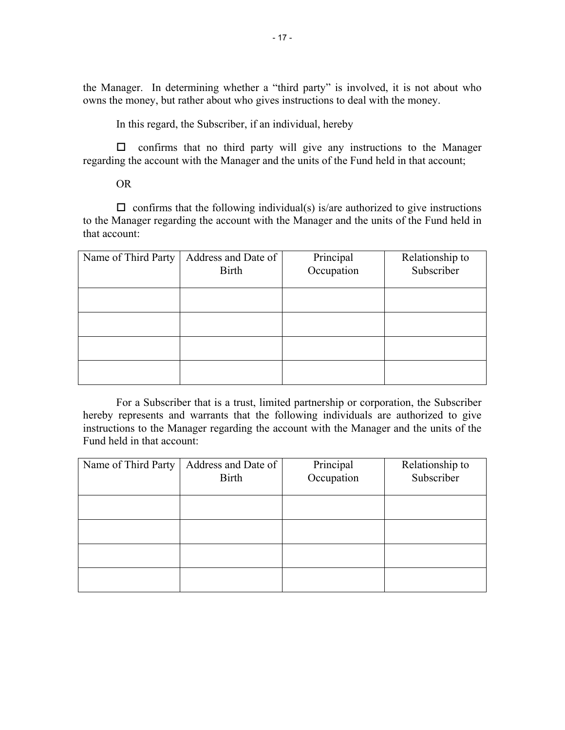the Manager. In determining whether a "third party" is involved, it is not about who owns the money, but rather about who gives instructions to deal with the money.

In this regard, the Subscriber, if an individual, hereby

 $\Box$  confirms that no third party will give any instructions to the Manager regarding the account with the Manager and the units of the Fund held in that account;

## OR

 $\Box$  confirms that the following individual(s) is/are authorized to give instructions to the Manager regarding the account with the Manager and the units of the Fund held in that account:

| Name of Third Party | Address and Date of<br><b>Birth</b> | Principal<br>Occupation | Relationship to<br>Subscriber |
|---------------------|-------------------------------------|-------------------------|-------------------------------|
|                     |                                     |                         |                               |
|                     |                                     |                         |                               |
|                     |                                     |                         |                               |
|                     |                                     |                         |                               |

For a Subscriber that is a trust, limited partnership or corporation, the Subscriber hereby represents and warrants that the following individuals are authorized to give instructions to the Manager regarding the account with the Manager and the units of the Fund held in that account:

| Name of Third Party | Address and Date of<br><b>Birth</b> | Principal<br>Occupation | Relationship to<br>Subscriber |
|---------------------|-------------------------------------|-------------------------|-------------------------------|
|                     |                                     |                         |                               |
|                     |                                     |                         |                               |
|                     |                                     |                         |                               |
|                     |                                     |                         |                               |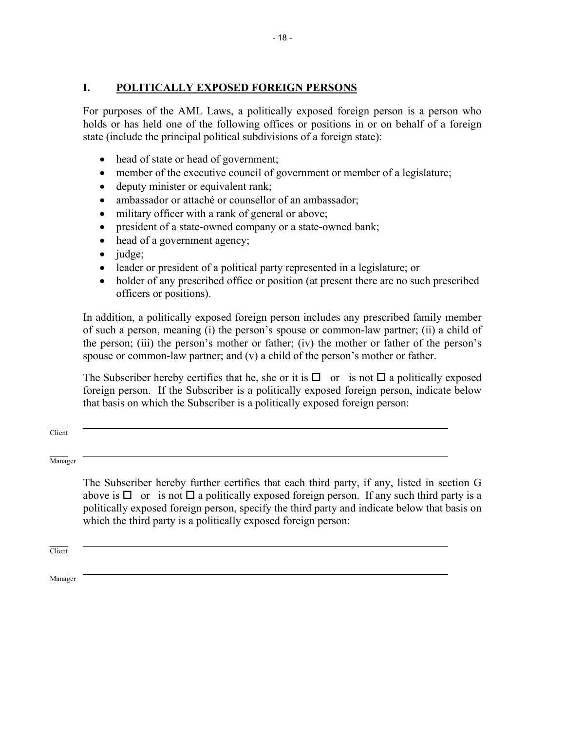# **I. POLITICALLY EXPOSED FOREIGN PERSONS**

For purposes of the AML Laws, a politically exposed foreign person is a person who holds or has held one of the following offices or positions in or on behalf of a foreign state (include the principal political subdivisions of a foreign state):

- head of state or head of government;
- member of the executive council of government or member of a legislature;
- deputy minister or equivalent rank;
- ambassador or attaché or counsellor of an ambassador;
- military officer with a rank of general or above;
- president of a state-owned company or a state-owned bank;
- head of a government agency;
- $\bullet$  judge;
- leader or president of a political party represented in a legislature; or
- holder of any prescribed office or position (at present there are no such prescribed officers or positions).

In addition, a politically exposed foreign person includes any prescribed family member of such a person, meaning (i) the person's spouse or common-law partner; (ii) a child of the person; (iii) the person's mother or father; (iv) the mother or father of the person's spouse or common-law partner; and (v) a child of the person's mother or father.

The Subscriber hereby certifies that he, she or it is  $\Box$  or is not  $\Box$  a politically exposed foreign person. If the Subscriber is a politically exposed foreign person, indicate below that basis on which the Subscriber is a politically exposed foreign person:

 $\overline{a}$ **Client** 

 $\overline{a}$ Manager

> The Subscriber hereby further certifies that each third party, if any, listed in section G above is  $\Box$  or is not  $\Box$  a politically exposed foreign person. If any such third party is a politically exposed foreign person, specify the third party and indicate below that basis on which the third party is a politically exposed foreign person:

 $\overline{a}$ Client

 $\overline{a}$ Manager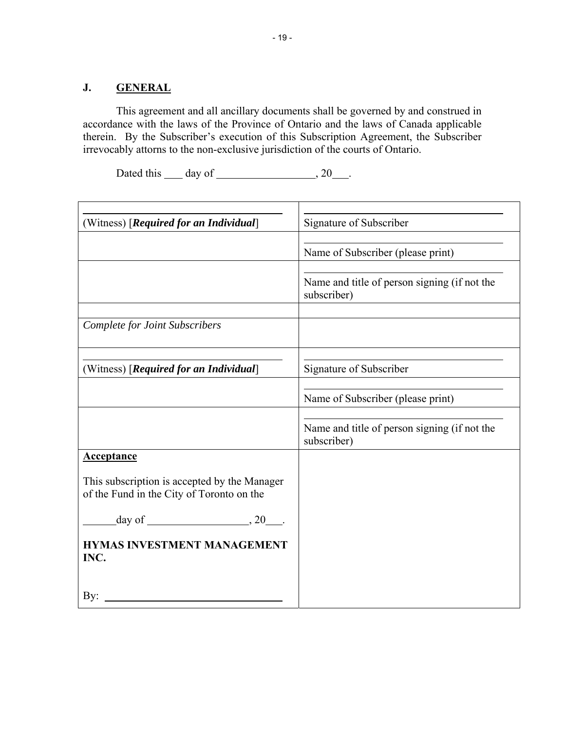# **J. GENERAL**

This agreement and all ancillary documents shall be governed by and construed in accordance with the laws of the Province of Ontario and the laws of Canada applicable therein. By the Subscriber's execution of this Subscription Agreement, the Subscriber irrevocably attorns to the non-exclusive jurisdiction of the courts of Ontario.

Dated this  $\qquad \qquad$  day of  $\qquad \qquad$ , 20  $\qquad$ .

| (Witness) [Required for an Individual]                                                    | Signature of Subscriber                                     |
|-------------------------------------------------------------------------------------------|-------------------------------------------------------------|
|                                                                                           | Name of Subscriber (please print)                           |
|                                                                                           | Name and title of person signing (if not the<br>subscriber) |
| <b>Complete for Joint Subscribers</b>                                                     |                                                             |
| (Witness) [Required for an Individual]                                                    | Signature of Subscriber                                     |
|                                                                                           | Name of Subscriber (please print)                           |
|                                                                                           | Name and title of person signing (if not the<br>subscriber) |
| <b>Acceptance</b>                                                                         |                                                             |
| This subscription is accepted by the Manager<br>of the Fund in the City of Toronto on the |                                                             |
|                                                                                           |                                                             |
| <b>HYMAS INVESTMENT MANAGEMENT</b><br>INC.                                                |                                                             |
| By:                                                                                       |                                                             |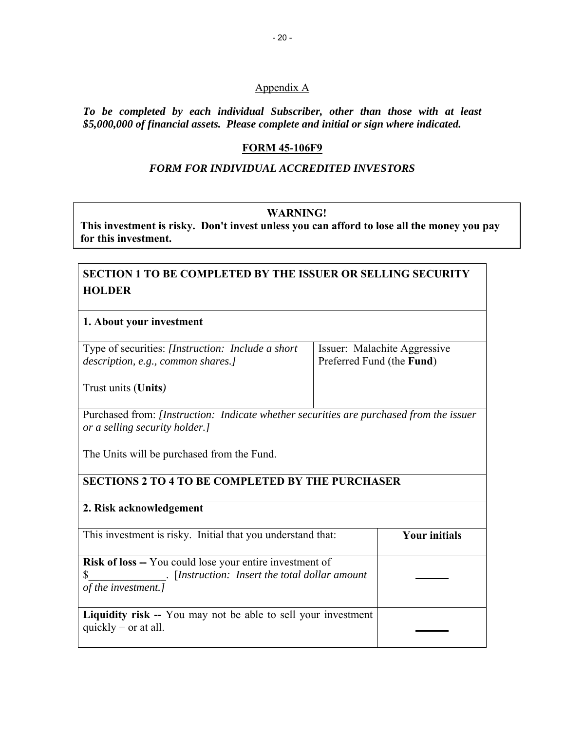#### Appendix A

*To be completed by each individual Subscriber, other than those with at least \$5,000,000 of financial assets. Please complete and initial or sign where indicated.* 

#### **FORM 45-106F9**

#### *FORM FOR INDIVIDUAL ACCREDITED INVESTORS*

#### **WARNING! WARNING!**

**This investment is risky. Don't invest unless you can afford to lose all the money you pay for this investment.**

# **SECTION 1 TO BE COMPLETED BY THE ISSUER OR SELLING SECURITY HOLDER**

#### **1. About your investment**

Type of securities: *[Instruction: Include a short description, e.g., common shares.]* 

Issuer: Malachite Aggressive Preferred Fund (the **Fund**)

Trust units (**Units***)*

Purchased from: *[Instruction: Indicate whether securities are purchased from the issuer or a selling security holder.]* 

The Units will be purchased from the Fund.

#### **SECTIONS 2 TO 4 TO BE COMPLETED BY THE PURCHASER**

| 2. Risk acknowledgement                                                                                                                 |                      |
|-----------------------------------------------------------------------------------------------------------------------------------------|----------------------|
| This investment is risky. Initial that you understand that:                                                                             | <b>Your initials</b> |
| <b>Risk of loss --</b> You could lose your entire investment of<br>[Instruction: Insert the total dollar amount]<br>of the investment.] |                      |
| <b>Liquidity risk --</b> You may not be able to sell your investment<br>quickly $-$ or at all.                                          |                      |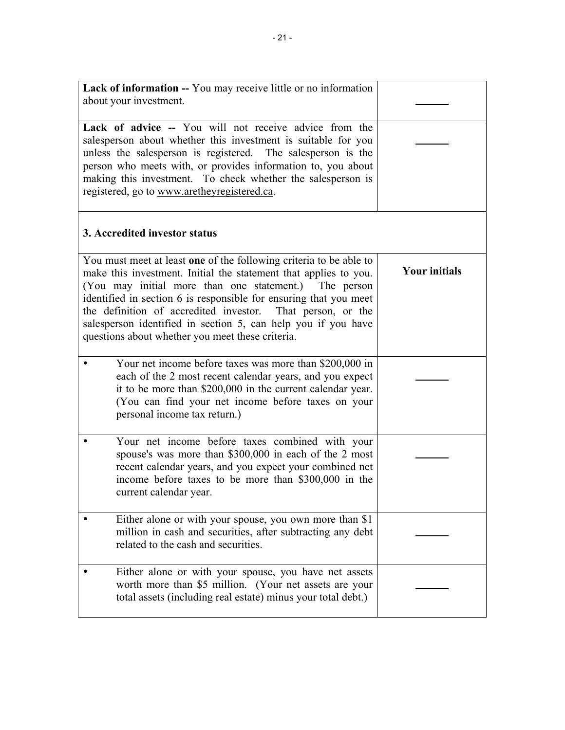| Lack of information -- You may receive little or no information<br>about your investment.<br>Lack of advice -- You will not receive advice from the<br>salesperson about whether this investment is suitable for you<br>unless the salesperson is registered. The salesperson is the<br>person who meets with, or provides information to, you about                                                                                                       |                      |
|------------------------------------------------------------------------------------------------------------------------------------------------------------------------------------------------------------------------------------------------------------------------------------------------------------------------------------------------------------------------------------------------------------------------------------------------------------|----------------------|
| making this investment. To check whether the salesperson is<br>registered, go to www.aretheyregistered.ca.                                                                                                                                                                                                                                                                                                                                                 |                      |
| 3. Accredited investor status                                                                                                                                                                                                                                                                                                                                                                                                                              |                      |
| You must meet at least one of the following criteria to be able to<br>make this investment. Initial the statement that applies to you.<br>(You may initial more than one statement.) The person<br>identified in section 6 is responsible for ensuring that you meet<br>the definition of accredited investor.<br>That person, or the<br>salesperson identified in section 5, can help you if you have<br>questions about whether you meet these criteria. | <b>Your initials</b> |
| Your net income before taxes was more than \$200,000 in<br>each of the 2 most recent calendar years, and you expect<br>it to be more than \$200,000 in the current calendar year.<br>(You can find your net income before taxes on your<br>personal income tax return.)                                                                                                                                                                                    |                      |
| Your net income before taxes combined with your<br>spouse's was more than \$300,000 in each of the 2 most<br>recent calendar years, and you expect your combined net<br>income before taxes to be more than \$300,000 in the<br>current calendar year.                                                                                                                                                                                                     |                      |
| Either alone or with your spouse, you own more than \$1<br>million in cash and securities, after subtracting any debt<br>related to the cash and securities.                                                                                                                                                                                                                                                                                               |                      |
| Either alone or with your spouse, you have net assets<br>worth more than \$5 million. (Your net assets are your<br>total assets (including real estate) minus your total debt.)                                                                                                                                                                                                                                                                            |                      |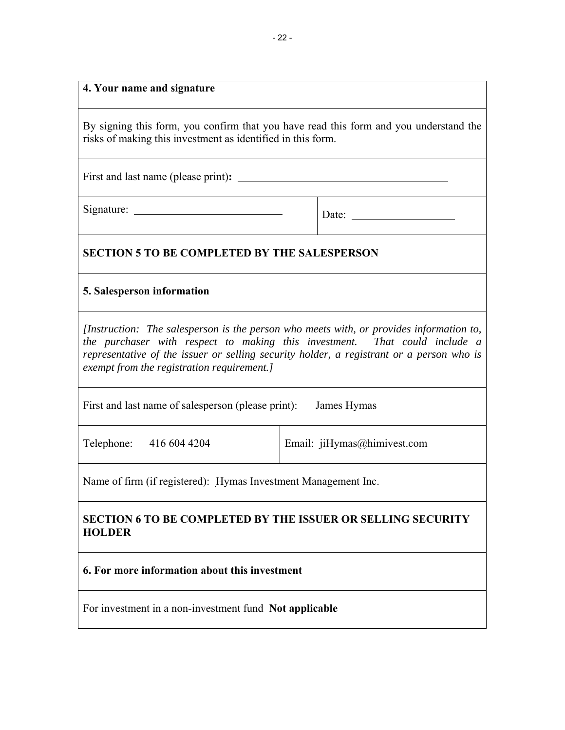#### **4. Your name and signature**

By signing this form, you confirm that you have read this form and you understand the risks of making this investment as identified in this form.

First and last name (please print)**:** <u>*Prince prince 1998 Prince 1999 Prince 1999* **<b>***Prince 1999 Prince 1999 Prince 1999* **<b>***Prince 1999 Prince 1999 Prince 1999 Prince 1999* **<b>***Prince 1999 P</u>* 

 $Signature:$  Date:  $\qquad \qquad$  Date:

# **SECTION 5 TO BE COMPLETED BY THE SALESPERSON**

#### **5. Salesperson information**

*[Instruction: The salesperson is the person who meets with, or provides information to, the purchaser with respect to making this investment. That could include a representative of the issuer or selling security holder, a registrant or a person who is exempt from the registration requirement.]*

First and last name of salesperson (please print): James Hymas

Telephone: 416 604 4204 | Email: jiHymas@himivest.com

Name of firm (if registered): Hymas Investment Management Inc.

# **SECTION 6 TO BE COMPLETED BY THE ISSUER OR SELLING SECURITY HOLDER**

## **6. For more information about this investment**

For investment in a non-investment fund **Not applicable**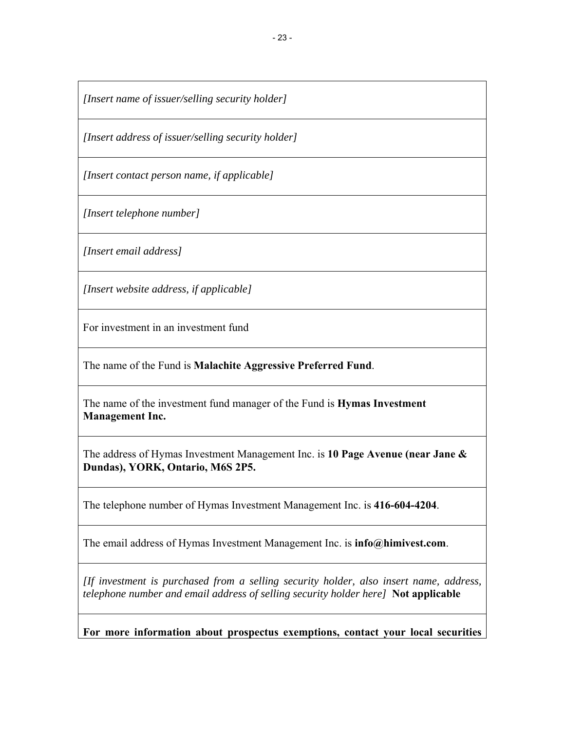*[Insert name of issuer/selling security holder]*

*[Insert address of issuer/selling security holder]*

*[Insert contact person name, if applicable]*

*[Insert telephone number]*

*[Insert email address]*

*[Insert website address, if applicable]*

For investment in an investment fund

The name of the Fund is **Malachite Aggressive Preferred Fund**.

The name of the investment fund manager of the Fund is **Hymas Investment Management Inc.** 

The address of Hymas Investment Management Inc. is **10 Page Avenue (near Jane & Dundas), YORK, Ontario, M6S 2P5.**

The telephone number of Hymas Investment Management Inc. is **416-604-4204**.

The email address of Hymas Investment Management Inc. is **info@himivest.com**.

*[If investment is purchased from a selling security holder, also insert name, address, telephone number and email address of selling security holder here]* **Not applicable** 

**For more information about prospectus exemptions, contact your local securities**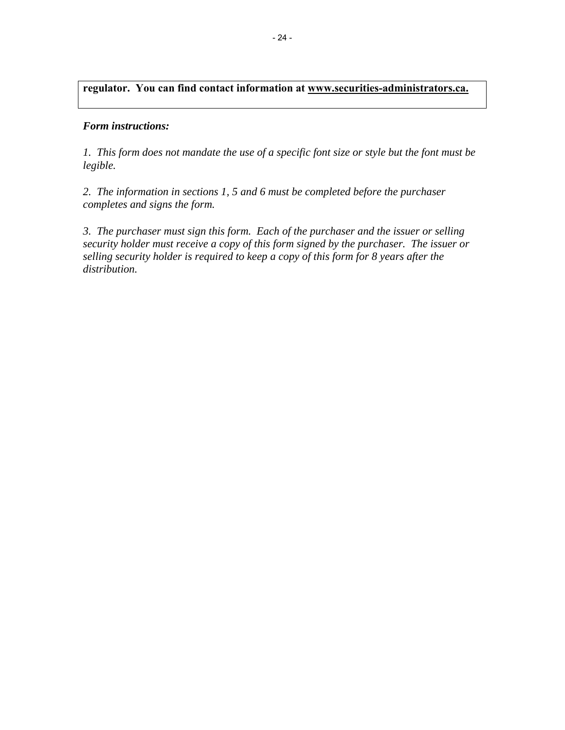# **regulator. You can find contact information at www.securities-administrators.ca.**

#### *Form instructions:*

*1. This form does not mandate the use of a specific font size or style but the font must be legible.*

*2. The information in sections 1, 5 and 6 must be completed before the purchaser completes and signs the form.*

*3. The purchaser must sign this form. Each of the purchaser and the issuer or selling security holder must receive a copy of this form signed by the purchaser. The issuer or selling security holder is required to keep a copy of this form for 8 years after the distribution.*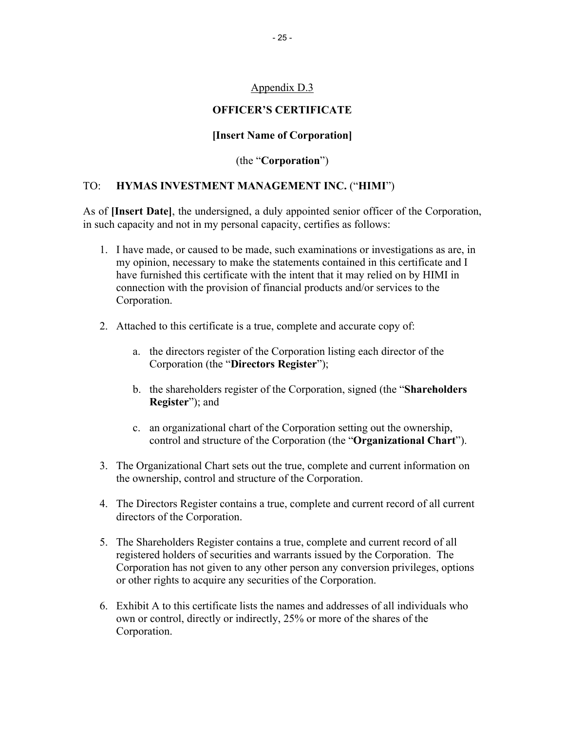## Appendix D.3

## **OFFICER'S CERTIFICATE**

## **[Insert Name of Corporation]**

(the "**Corporation**")

## TO: **HYMAS INVESTMENT MANAGEMENT INC.** ("**HIMI**")

As of **[Insert Date]**, the undersigned, a duly appointed senior officer of the Corporation, in such capacity and not in my personal capacity, certifies as follows:

- 1. I have made, or caused to be made, such examinations or investigations as are, in my opinion, necessary to make the statements contained in this certificate and I have furnished this certificate with the intent that it may relied on by HIMI in connection with the provision of financial products and/or services to the Corporation.
- 2. Attached to this certificate is a true, complete and accurate copy of:
	- a. the directors register of the Corporation listing each director of the Corporation (the "**Directors Register**");
	- b. the shareholders register of the Corporation, signed (the "**Shareholders Register**"); and
	- c. an organizational chart of the Corporation setting out the ownership, control and structure of the Corporation (the "**Organizational Chart**").
- 3. The Organizational Chart sets out the true, complete and current information on the ownership, control and structure of the Corporation.
- 4. The Directors Register contains a true, complete and current record of all current directors of the Corporation.
- 5. The Shareholders Register contains a true, complete and current record of all registered holders of securities and warrants issued by the Corporation. The Corporation has not given to any other person any conversion privileges, options or other rights to acquire any securities of the Corporation.
- 6. Exhibit A to this certificate lists the names and addresses of all individuals who own or control, directly or indirectly, 25% or more of the shares of the Corporation.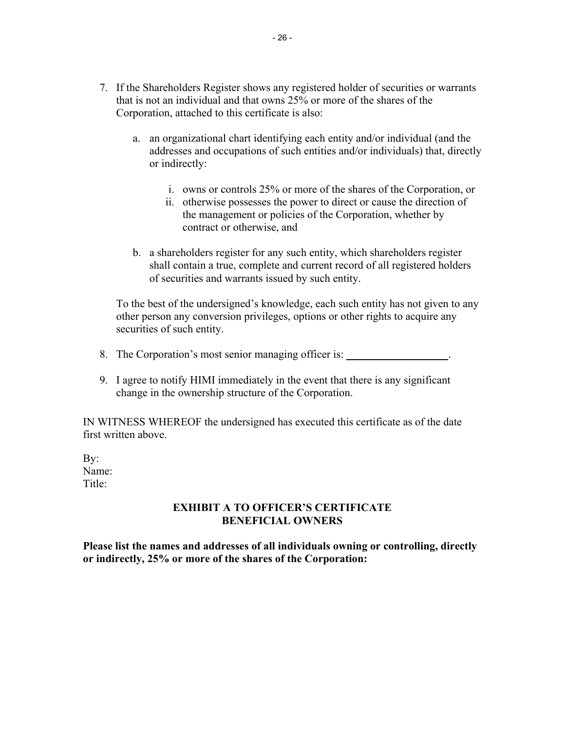- 7. If the Shareholders Register shows any registered holder of securities or warrants that is not an individual and that owns 25% or more of the shares of the Corporation, attached to this certificate is also:
	- a. an organizational chart identifying each entity and/or individual (and the addresses and occupations of such entities and/or individuals) that, directly or indirectly:
		- i. owns or controls 25% or more of the shares of the Corporation, or
		- ii. otherwise possesses the power to direct or cause the direction of the management or policies of the Corporation, whether by contract or otherwise, and
	- b. a shareholders register for any such entity, which shareholders register shall contain a true, complete and current record of all registered holders of securities and warrants issued by such entity.

To the best of the undersigned's knowledge, each such entity has not given to any other person any conversion privileges, options or other rights to acquire any securities of such entity.

- 8. The Corporation's most senior managing officer is: .
- 9. I agree to notify HIMI immediately in the event that there is any significant change in the ownership structure of the Corporation.

IN WITNESS WHEREOF the undersigned has executed this certificate as of the date first written above.

By: Name: Title<sup>-</sup>

## **EXHIBIT A TO OFFICER'S CERTIFICATE BENEFICIAL OWNERS**

**Please list the names and addresses of all individuals owning or controlling, directly or indirectly, 25% or more of the shares of the Corporation:**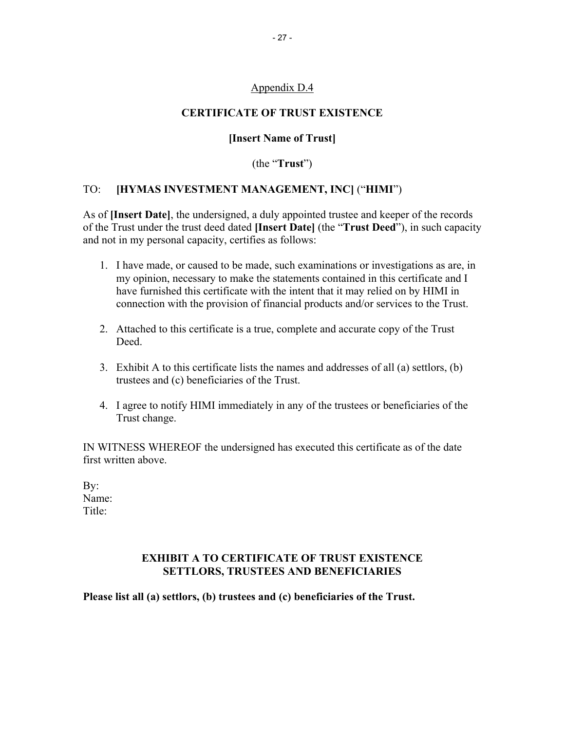## Appendix D.4

### **CERTIFICATE OF TRUST EXISTENCE**

### **[Insert Name of Trust]**

(the "**Trust**")

#### TO: **[HYMAS INVESTMENT MANAGEMENT, INC]** ("**HIMI**")

As of **[Insert Date]**, the undersigned, a duly appointed trustee and keeper of the records of the Trust under the trust deed dated **[Insert Date]** (the "**Trust Deed**"), in such capacity and not in my personal capacity, certifies as follows:

- 1. I have made, or caused to be made, such examinations or investigations as are, in my opinion, necessary to make the statements contained in this certificate and I have furnished this certificate with the intent that it may relied on by HIMI in connection with the provision of financial products and/or services to the Trust.
- 2. Attached to this certificate is a true, complete and accurate copy of the Trust Deed.
- 3. Exhibit A to this certificate lists the names and addresses of all (a) settlors, (b) trustees and (c) beneficiaries of the Trust.
- 4. I agree to notify HIMI immediately in any of the trustees or beneficiaries of the Trust change.

IN WITNESS WHEREOF the undersigned has executed this certificate as of the date first written above.

By: Name: Title<sup>-</sup>

# **EXHIBIT A TO CERTIFICATE OF TRUST EXISTENCE SETTLORS, TRUSTEES AND BENEFICIARIES**

**Please list all (a) settlors, (b) trustees and (c) beneficiaries of the Trust.**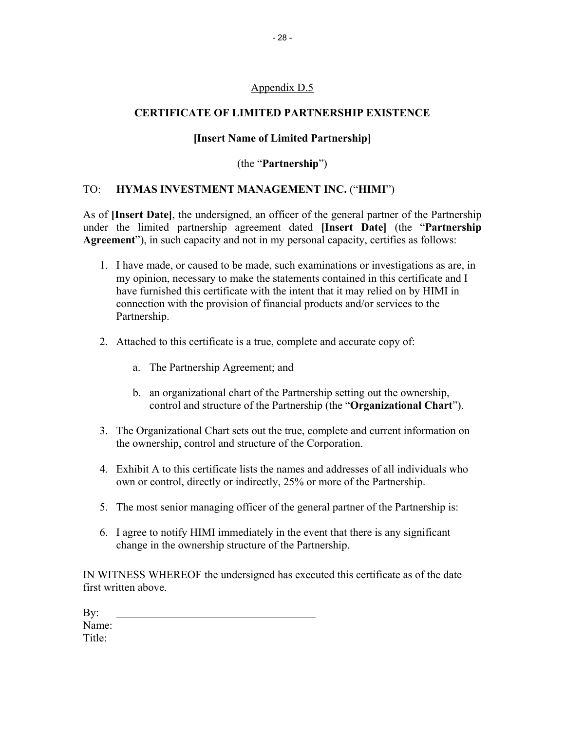# Appendix D.5

## **CERTIFICATE OF LIMITED PARTNERSHIP EXISTENCE**

### **[Insert Name of Limited Partnership]**

## (the "**Partnership**")

#### TO: **HYMAS INVESTMENT MANAGEMENT INC.** ("**HIMI**")

As of **[Insert Date]**, the undersigned, an officer of the general partner of the Partnership under the limited partnership agreement dated **[Insert Date]** (the "**Partnership Agreement**"), in such capacity and not in my personal capacity, certifies as follows:

- 1. I have made, or caused to be made, such examinations or investigations as are, in my opinion, necessary to make the statements contained in this certificate and I have furnished this certificate with the intent that it may relied on by HIMI in connection with the provision of financial products and/or services to the Partnership.
- 2. Attached to this certificate is a true, complete and accurate copy of:
	- a. The Partnership Agreement; and
	- b. an organizational chart of the Partnership setting out the ownership, control and structure of the Partnership (the "**Organizational Chart**").
- 3. The Organizational Chart sets out the true, complete and current information on the ownership, control and structure of the Corporation.
- 4. Exhibit A to this certificate lists the names and addresses of all individuals who own or control, directly or indirectly, 25% or more of the Partnership.
- 5. The most senior managing officer of the general partner of the Partnership is:
- 6. I agree to notify HIMI immediately in the event that there is any significant change in the ownership structure of the Partnership.

IN WITNESS WHEREOF the undersigned has executed this certificate as of the date first written above.

| By:    |  |  |  |
|--------|--|--|--|
| Name:  |  |  |  |
| Title: |  |  |  |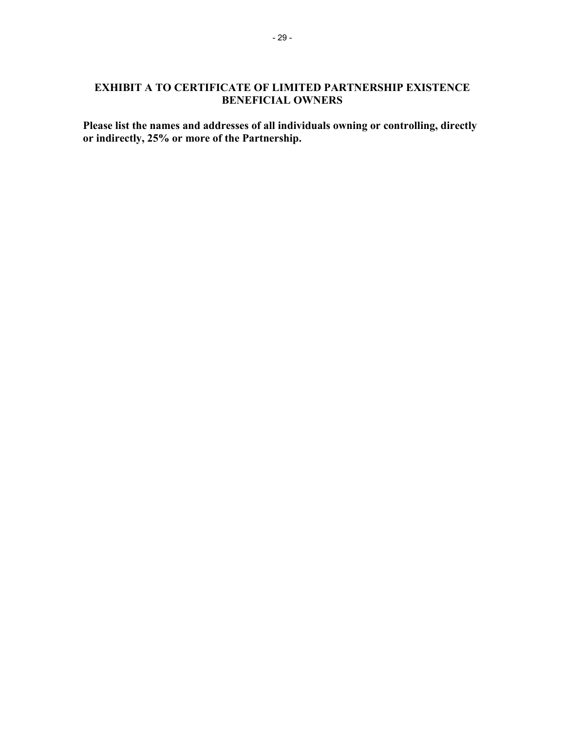## **EXHIBIT A TO CERTIFICATE OF LIMITED PARTNERSHIP EXISTENCE BENEFICIAL OWNERS**

**Please list the names and addresses of all individuals owning or controlling, directly or indirectly, 25% or more of the Partnership.**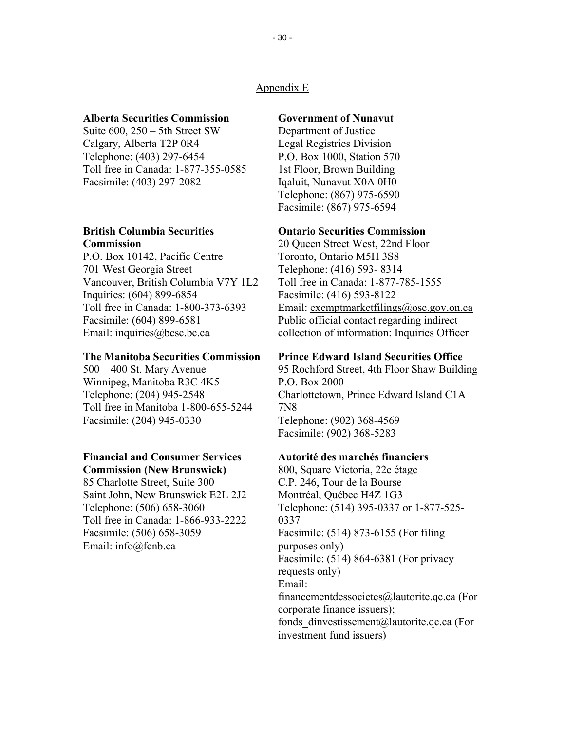#### Appendix E

#### **Alberta Securities Commission**

Suite 600, 250 – 5th Street SW Calgary, Alberta T2P 0R4 Telephone: (403) 297-6454 Toll free in Canada: 1-877-355-0585 Facsimile: (403) 297-2082

#### **British Columbia Securities Commission**

P.O. Box 10142, Pacific Centre 701 West Georgia Street Vancouver, British Columbia V7Y 1L2 Inquiries: (604) 899-6854 Toll free in Canada: 1-800-373-6393 Facsimile: (604) 899-6581 Email: inquiries@bcsc.bc.ca

#### **The Manitoba Securities Commission**

500 – 400 St. Mary Avenue Winnipeg, Manitoba R3C 4K5 Telephone: (204) 945-2548 Toll free in Manitoba 1-800-655-5244 Facsimile: (204) 945-0330

### **Financial and Consumer Services**

**Commission (New Brunswick)**

85 Charlotte Street, Suite 300 Saint John, New Brunswick E2L 2J2 Telephone: (506) 658-3060 Toll free in Canada: 1-866-933-2222 Facsimile: (506) 658-3059 Email: info@fcnb.ca

#### **Government of Nunavut**

Department of Justice Legal Registries Division P.O. Box 1000, Station 570 1st Floor, Brown Building Iqaluit, Nunavut X0A 0H0 Telephone: (867) 975-6590 Facsimile: (867) 975-6594

#### **Ontario Securities Commission**

20 Queen Street West, 22nd Floor Toronto, Ontario M5H 3S8 Telephone: (416) 593- 8314 Toll free in Canada: 1-877-785-1555 Facsimile: (416) 593-8122 Email: exemptmarketfilings@osc.gov.on.ca Public official contact regarding indirect collection of information: Inquiries Officer

#### **Prince Edward Island Securities Office**

95 Rochford Street, 4th Floor Shaw Building P.O. Box 2000 Charlottetown, Prince Edward Island C1A 7N8 Telephone: (902) 368-4569 Facsimile: (902) 368-5283

#### **Autorité des marchés financiers**

800, Square Victoria, 22e étage C.P. 246, Tour de la Bourse Montréal, Québec H4Z 1G3 Telephone: (514) 395-0337 or 1-877-525- 0337 Facsimile: (514) 873-6155 (For filing purposes only) Facsimile: (514) 864-6381 (For privacy requests only) Email: financementdessocietes@lautorite.qc.ca (For corporate finance issuers); fonds dinvestissement@lautorite.qc.ca (For investment fund issuers)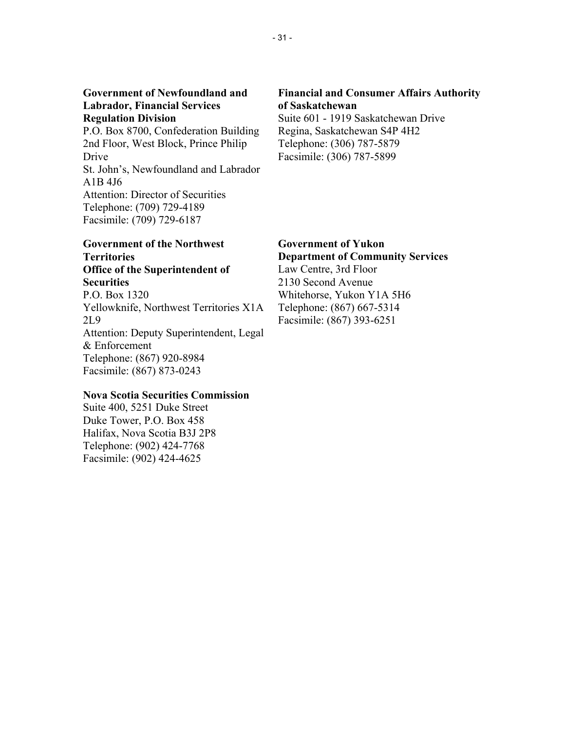#### **Government of Newfoundland and Labrador, Financial Services Regulation Division**

P.O. Box 8700, Confederation Building 2nd Floor, West Block, Prince Philip Drive St. John's, Newfoundland and Labrador A1B 4J6 Attention: Director of Securities Telephone: (709) 729-4189 Facsimile: (709) 729-6187

#### **Government of the Northwest Territories Office of the Superintendent of Securities**

P.O. Box 1320 Yellowknife, Northwest Territories X1A 2L9 Attention: Deputy Superintendent, Legal & Enforcement Telephone: (867) 920-8984 Facsimile: (867) 873-0243

## **Nova Scotia Securities Commission**

Suite 400, 5251 Duke Street Duke Tower, P.O. Box 458 Halifax, Nova Scotia B3J 2P8 Telephone: (902) 424-7768 Facsimile: (902) 424-4625

### **Financial and Consumer Affairs Authority of Saskatchewan**

Suite 601 - 1919 Saskatchewan Drive Regina, Saskatchewan S4P 4H2 Telephone: (306) 787-5879 Facsimile: (306) 787-5899

# **Government of Yukon Department of Community Services** Law Centre, 3rd Floor

2130 Second Avenue Whitehorse, Yukon Y1A 5H6 Telephone: (867) 667-5314 Facsimile: (867) 393-6251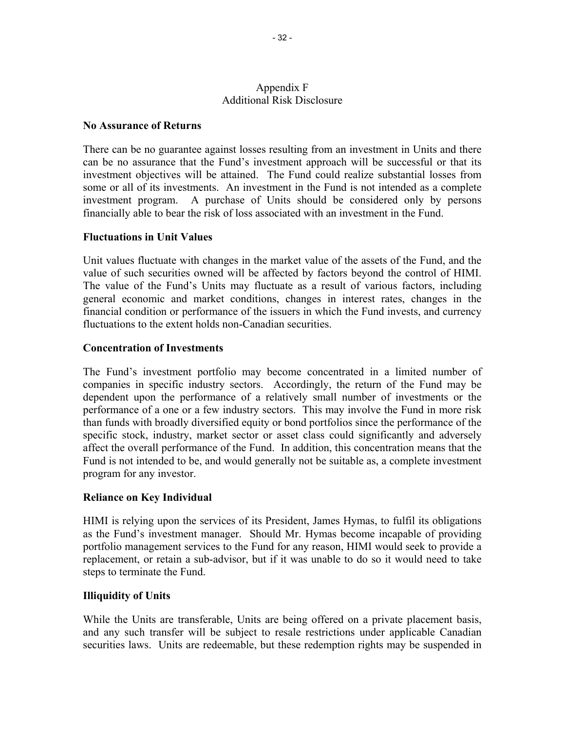#### Appendix F Additional Risk Disclosure

### **No Assurance of Returns**

There can be no guarantee against losses resulting from an investment in Units and there can be no assurance that the Fund's investment approach will be successful or that its investment objectives will be attained. The Fund could realize substantial losses from some or all of its investments. An investment in the Fund is not intended as a complete investment program. A purchase of Units should be considered only by persons financially able to bear the risk of loss associated with an investment in the Fund.

## **Fluctuations in Unit Values**

Unit values fluctuate with changes in the market value of the assets of the Fund, and the value of such securities owned will be affected by factors beyond the control of HIMI. The value of the Fund's Units may fluctuate as a result of various factors, including general economic and market conditions, changes in interest rates, changes in the financial condition or performance of the issuers in which the Fund invests, and currency fluctuations to the extent holds non-Canadian securities.

## **Concentration of Investments**

The Fund's investment portfolio may become concentrated in a limited number of companies in specific industry sectors. Accordingly, the return of the Fund may be dependent upon the performance of a relatively small number of investments or the performance of a one or a few industry sectors. This may involve the Fund in more risk than funds with broadly diversified equity or bond portfolios since the performance of the specific stock, industry, market sector or asset class could significantly and adversely affect the overall performance of the Fund. In addition, this concentration means that the Fund is not intended to be, and would generally not be suitable as, a complete investment program for any investor.

# **Reliance on Key Individual**

HIMI is relying upon the services of its President, James Hymas, to fulfil its obligations as the Fund's investment manager. Should Mr. Hymas become incapable of providing portfolio management services to the Fund for any reason, HIMI would seek to provide a replacement, or retain a sub-advisor, but if it was unable to do so it would need to take steps to terminate the Fund.

#### **Illiquidity of Units**

While the Units are transferable, Units are being offered on a private placement basis, and any such transfer will be subject to resale restrictions under applicable Canadian securities laws. Units are redeemable, but these redemption rights may be suspended in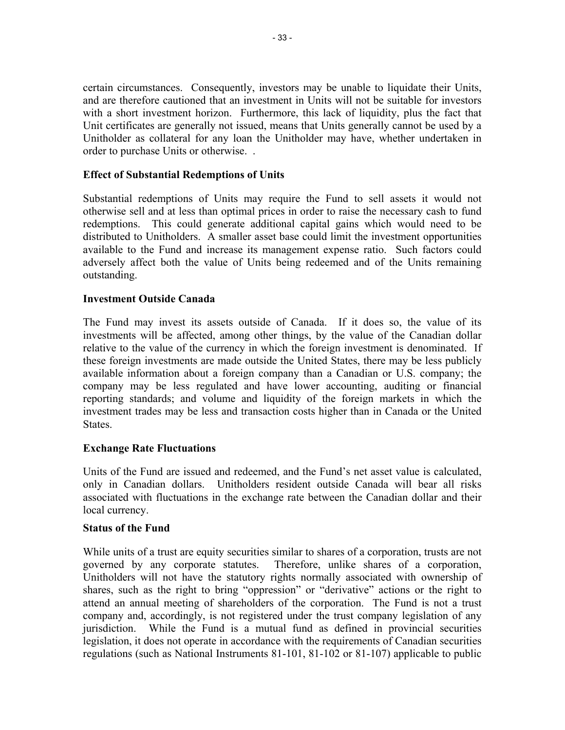certain circumstances. Consequently, investors may be unable to liquidate their Units, and are therefore cautioned that an investment in Units will not be suitable for investors with a short investment horizon. Furthermore, this lack of liquidity, plus the fact that Unit certificates are generally not issued, means that Units generally cannot be used by a Unitholder as collateral for any loan the Unitholder may have, whether undertaken in order to purchase Units or otherwise. .

## **Effect of Substantial Redemptions of Units**

Substantial redemptions of Units may require the Fund to sell assets it would not otherwise sell and at less than optimal prices in order to raise the necessary cash to fund redemptions. This could generate additional capital gains which would need to be distributed to Unitholders. A smaller asset base could limit the investment opportunities available to the Fund and increase its management expense ratio. Such factors could adversely affect both the value of Units being redeemed and of the Units remaining outstanding.

#### **Investment Outside Canada**

The Fund may invest its assets outside of Canada. If it does so, the value of its investments will be affected, among other things, by the value of the Canadian dollar relative to the value of the currency in which the foreign investment is denominated. If these foreign investments are made outside the United States, there may be less publicly available information about a foreign company than a Canadian or U.S. company; the company may be less regulated and have lower accounting, auditing or financial reporting standards; and volume and liquidity of the foreign markets in which the investment trades may be less and transaction costs higher than in Canada or the United **States**.

#### **Exchange Rate Fluctuations**

Units of the Fund are issued and redeemed, and the Fund's net asset value is calculated, only in Canadian dollars. Unitholders resident outside Canada will bear all risks associated with fluctuations in the exchange rate between the Canadian dollar and their local currency.

#### **Status of the Fund**

While units of a trust are equity securities similar to shares of a corporation, trusts are not governed by any corporate statutes. Therefore, unlike shares of a corporation, Unitholders will not have the statutory rights normally associated with ownership of shares, such as the right to bring "oppression" or "derivative" actions or the right to attend an annual meeting of shareholders of the corporation. The Fund is not a trust company and, accordingly, is not registered under the trust company legislation of any jurisdiction. While the Fund is a mutual fund as defined in provincial securities legislation, it does not operate in accordance with the requirements of Canadian securities regulations (such as National Instruments 81-101, 81-102 or 81-107) applicable to public